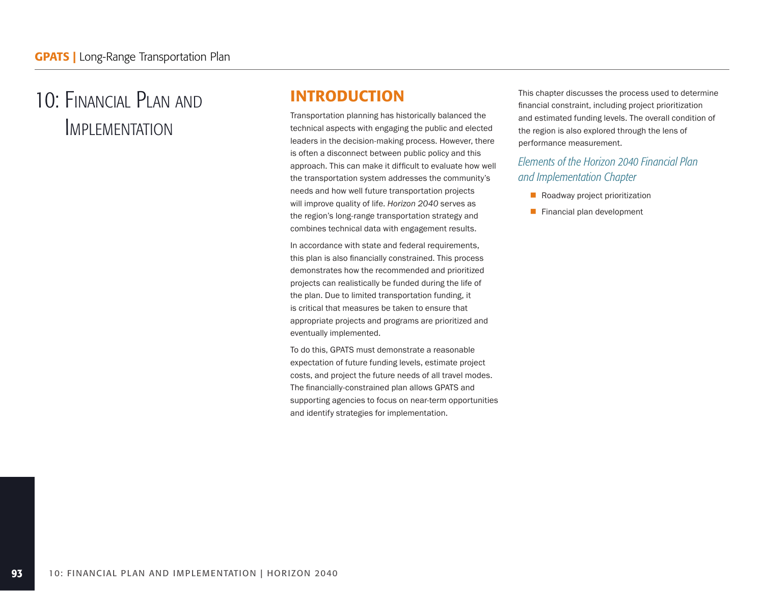# 10: Financial Plan and **IMPLEMENTATION**

# INTRODUCTION

Transportation planning has historically balanced the technical aspects with engaging the public and elected leaders in the decision-making process. However, there is often a disconnect between public policy and this approach. This can make it difficult to evaluate how well the transportation system addresses the community's needs and how well future transportation projects will improve quality of life. *Horizon 2040* serves as the region's long-range transportation strategy and combines technical data with engagement results.

In accordance with state and federal requirements, this plan is also financially constrained. This process demonstrates how the recommended and prioritized projects can realistically be funded during the life of the plan. Due to limited transportation funding, it is critical that measures be taken to ensure that appropriate projects and programs are prioritized and eventually implemented.

To do this, GPATS must demonstrate a reasonable expectation of future funding levels, estimate project costs, and project the future needs of all travel modes. The financially-constrained plan allows GPATS and supporting agencies to focus on near-term opportunities and identify strategies for implementation.

This chapter discusses the process used to determine financial constraint, including project prioritization and estimated funding levels. The overall condition of the region is also explored through the lens of performance measurement.

### *Elements of the Horizon 2040 Financial Plan and Implementation Chapter*

- Roadway project prioritization
- Financial plan development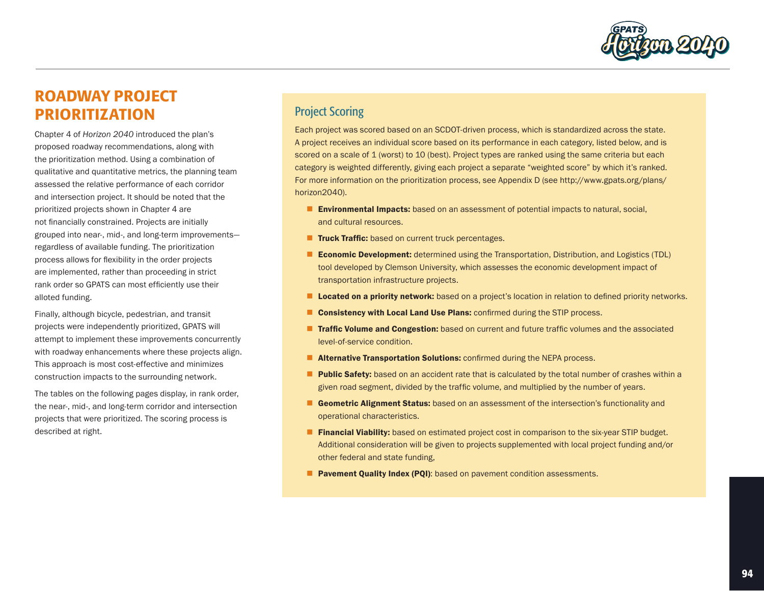

# ROADWAY PROJECT PRIORITIZATION

Chapter 4 of *Horizon 2040* introduced the plan's proposed roadway recommendations, along with the prioritization method. Using a combination of qualitative and quantitative metrics, the planning team assessed the relative performance of each corridor and intersection project. It should be noted that the prioritized projects shown in Chapter 4 are not financially constrained. Projects are initially grouped into near-, mid-, and long-term improvements regardless of available funding. The prioritization process allows for flexibility in the order projects are implemented, rather than proceeding in strict rank order so GPATS can most efficiently use their alloted funding.

Finally, although bicycle, pedestrian, and transit projects were independently prioritized, GPATS will attempt to implement these improvements concurrently with roadway enhancements where these projects align. This approach is most cost-effective and minimizes construction impacts to the surrounding network.

The tables on the following pages display, in rank order, the near-, mid-, and long-term corridor and intersection projects that were prioritized. The scoring process is described at right.

### Project Scoring

Each project was scored based on an SCDOT-driven process, which is standardized across the state. A project receives an individual score based on its performance in each category, listed below, and is scored on a scale of 1 (worst) to 10 (best). Project types are ranked using the same criteria but each category is weighted differently, giving each project a separate "weighted score" by which it's ranked. For more information on the prioritization process, see Appendix D (see http://www.gpats.org/plans/ horizon2040).

- **E** Environmental Impacts: based on an assessment of potential impacts to natural, social, and cultural resources.
- **Truck Traffic:** based on current truck percentages.
- **Economic Development:** determined using the Transportation, Distribution, and Logistics (TDL) tool developed by Clemson University, which assesses the economic development impact of transportation infrastructure projects.
- **Located on a priority network:** based on a project's location in relation to defined priority networks.
- **Consistency with Local Land Use Plans:** confirmed during the STIP process.
- **Traffic Volume and Congestion:** based on current and future traffic volumes and the associated level-of-service condition.
- **Alternative Transportation Solutions:** confirmed during the NEPA process.
- **Public Safety:** based on an accident rate that is calculated by the total number of crashes within a given road segment, divided by the traffic volume, and multiplied by the number of years.
- Geometric Alignment Status: based on an assessment of the intersection's functionality and operational characteristics.
- **Financial Viability:** based on estimated project cost in comparison to the six-year STIP budget. Additional consideration will be given to projects supplemented with local project funding and/or other federal and state funding,
- **Pavement Quality Index (PQI):** based on pavement condition assessments.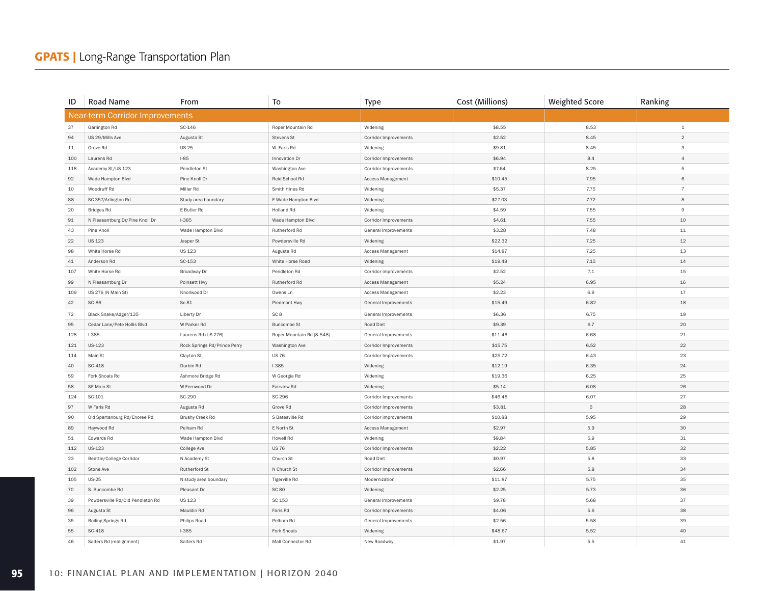# **GPATS** | Long-Range Transportation Plan

| ID  | Road Name                              | From                         | To                        | <b>Type</b>              | Cost (Millions) | <b>Weighted Score</b> | Ranking        |
|-----|----------------------------------------|------------------------------|---------------------------|--------------------------|-----------------|-----------------------|----------------|
|     | <b>Near-term Corridor Improvements</b> |                              |                           |                          |                 |                       |                |
| 37  | Garlington Rd                          | SC-146                       | Roper Mountain Rd         | Widening                 | \$8.55          | 8.53                  | $\mathbf{1}$   |
| 94  | US 29/Mills Ave                        | Augusta St                   | Stevens St                | Corridor Improvements    | \$2.52          | 8.45                  | $\mathfrak{D}$ |
| 11  | Grove Rd                               | <b>US 25</b>                 | W. Faris Rd               | Widening                 | \$9.81          | 8.45                  | $\overline{3}$ |
| 100 | Laurens Rd                             | $1 - 85$                     | Innovation Dr             | Corridor Improvements    | \$6.94          | 8.4                   | $\overline{4}$ |
| 118 | Academy St/US 123                      | Pendleton St                 | Washington Ave            | Corridor Improvements    | \$7.64          | 8.25                  | 5              |
| 92  | Wade Hampton Blvd                      | Pine Knoll Dr                | Reid School Rd            | Access Management        | \$10.45         | 7.95                  | 6              |
| 10  | Woodruff Rd                            | Miller Rd                    | Smith Hines Rd            | Widening                 | \$5.37          | 7.75                  | $\overline{7}$ |
| 88  | SC 357/Arlington Rd                    | Study area boundary          | E Wade Hampton Blvd       | Widening                 | \$27.03         | 7.72                  | 8              |
| 20  | <b>Bridges Rd</b>                      | E Butler Rd                  | Holland Rd                | Widening                 | \$4.59          | 7.55                  | 9              |
| 91  | N Pleasantburg Dr/Pine Knoll Dr        | $1 - 385$                    | Wade Hampton Blvd         | Corridor Improvements    | \$4.61          | 7.55                  | 10             |
| 43  | Pine Knoll                             | Wade Hampton Blvd            | Rutherford Rd             | General Improvements     | \$3.28          | 7.48                  | $11$           |
| 22  | <b>US 123</b>                          | Jasper St                    | Powdersville Rd           | Widening                 | \$22.32         | 7.25                  | 12             |
| 98  | White Horse Rd                         | <b>US123</b>                 | Augusta Rd                | <b>Access Management</b> | \$14.87         | 7.25                  | 13             |
| 41  | Anderson Rd                            | SC-153                       | White Horse Road          | Widening                 | \$19.48         | 7.15                  | 14             |
| 107 | White Horse Rd                         | Broadway Dr                  | Pendleton Rd              | Corridor improvements    | \$2.52          | 7.1                   | 15             |
| 99  | N Pleasantburg Dr                      | Poinsett Hwy                 | Rutherford Rd             | Access Management        | \$5.24          | 6.95                  | 16             |
| 109 | US 276 (N Main St)                     | Knollwood Dr                 | Owens Ln                  | Access Management        | \$2.23          | 6.9                   | 17             |
| 42  | <b>SC-86</b>                           | Sc 81                        | Piedmont Hwy              | General Improvements     | \$15.49         | 6.82                  | 18             |
| 72  | Black Snake/Adger/135                  | Liberty Dr                   | SC <sub>8</sub>           | General Improvements     | \$6.36          | 6.75                  | 19             |
| 95  | Cedar Lane/Pete Hollis Blvd            | W Parker Rd                  | <b>Buncombe St</b>        | Road Diet                | \$9.39          | 6.7                   | 20             |
| 128 | $1 - 385$                              | Laurens Rd (US 276)          | Roper Mountain Rd (S-548) | General Improvements     | \$11.46         | 6.68                  | 21             |
| 121 | US-123                                 | Rock Springs Rd/Prince Perry | Washington Ave            | Corridor Improvements    | \$15.75         | 6.52                  | 22             |
| 114 | Main St                                | Clayton St                   | <b>US 76</b>              | Corridor Improvements    | \$25.72         | 6.43                  | 23             |
| 40  | SC-418                                 | Durbin Rd                    | $1-385$                   | Widening                 | \$12.19         | 6.35                  | 24             |
| 59  | Fork Shoals Rd                         | Ashmore Bridge Rd            | W Georgia Rd              | Widening                 | \$19.36         | 6.25                  | 25             |
| 58  | SE Main St                             | W Fernwood Dr                | Fairview Rd               | Widening                 | \$5.14          | 6.08                  | 26             |
| 124 | SC-101                                 | SC-290                       | SC-296                    | Corridor Improvements    | \$46.48         | 6.07                  | 27             |
| 97  | W Faris Rd                             | Augusta Rd                   | Grove Rd                  | Corridor Improvements    | \$3.81          | 6                     | 28             |
| 90  | Old Spartanburg Rd/Enoree Rd           | Brushy Creek Rd              | S Batesville Rd           | Corridor improvements    | \$10.88         | 5.95                  | 29             |
| 89  | Haywood Rd                             | Pelham Rd                    | E North St                | Access Management        | \$2.97          | 5.9                   | 30             |
| 51  | Edwards Rd                             | Wade Hampton Blvd            | Howell Rd                 | Widening                 | \$9.84          | 5.9                   | 31             |
| 112 | US-123                                 | College Ave                  | <b>US 76</b>              | Corridor Improvements    | \$2.22          | 5.85                  | 32             |
| 23  | <b>Beattie/College Corridor</b>        | N Academy St                 | Church St                 | Road Diet                | \$0.97          | 5.8                   | 33             |
| 102 | Stone Ave                              | Rutherford St                | N Church St               | Corridor Improvements    | \$2.66          | 5.8                   | 34             |
| 105 | <b>US-25</b>                           | N study area boundary        | <b>Tigerville Rd</b>      | Modernization            | \$11.87         | 5.75                  | 35             |
| 70  | S. Buncombe Rd                         | Pleasant Dr                  | <b>SC 80</b>              | Widening                 | \$2.25          | 5.73                  | 36             |
| 39  | Powdersville Rd/Old Pendleton Rd       | <b>US 123</b>                | SC 153                    | General Improvements     | \$9.78          | 5.68                  | 37             |
| 96  | Augusta St                             | Mauldin Rd                   | Faris Rd                  | Corridor Improvements    | \$4.06          | 5.6                   | 38             |
| 35  | <b>Boiling Springs Rd</b>              | Philips Road                 | Pelham Rd                 | General Improvements     | \$2.56          | 5.58                  | 39             |
| 55  | SC-418                                 | $1 - 385$                    | Fork Shoals               | Widening                 | \$48.67         | 5.52                  | 40             |
| 46  | Salters Rd (realignment)               | Salters Rd                   | Mall Connector Rd         | New Roadway              | \$1.97          | 5.5                   | 41             |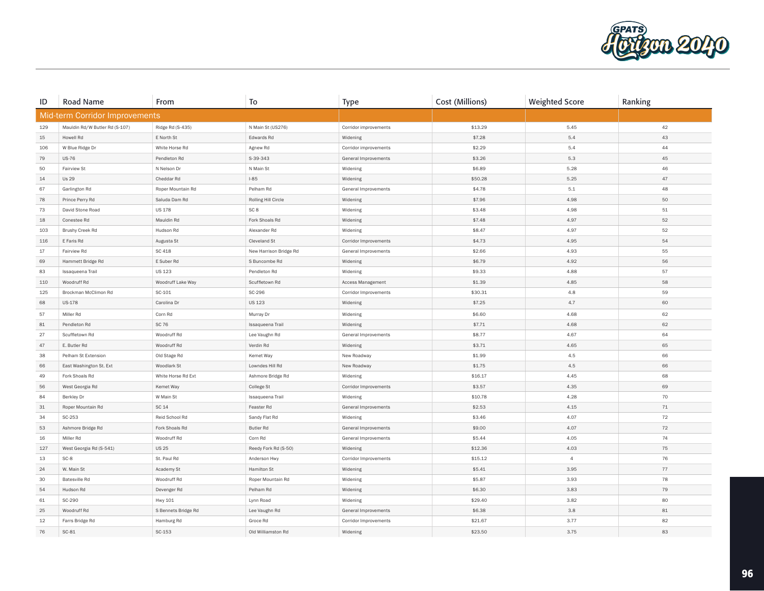

| ID     | Road Name                      | From                | To                     | <b>Type</b>           | Cost (Millions) | <b>Weighted Score</b> | Ranking |
|--------|--------------------------------|---------------------|------------------------|-----------------------|-----------------|-----------------------|---------|
|        | Mid-term Corridor Improvements |                     |                        |                       |                 |                       |         |
| 129    | Mauldin Rd/W Butler Rd (S-107) | Ridge Rd (S-435)    | N Main St (US276)      | Corridor improvements | \$13.29         | 5.45                  | 42      |
| 15     | Howell Rd                      | E North St          | Edwards Rd             | Widening              | \$7.28          | 5.4                   | 43      |
| 106    | W Blue Ridge Dr                | White Horse Rd      | Agnew Rd               | Corridor improvements | \$2.29          | 5.4                   | 44      |
| $79\,$ | <b>US-76</b>                   | Pendleton Rd        | S-39-343               | General Improvements  | \$3.26          | 5.3                   | 45      |
| 50     | Fairview St                    | N Nelson Dr         | N Main St              | Widening              | \$6.89          | 5.28                  | 46      |
| 14     | <b>Us 29</b>                   | Cheddar Rd          | $1 - 85$               | Widening              | \$50.28         | 5.25                  | 47      |
| 67     | Garlington Rd                  | Roper Mountain Rd   | Pelham Rd              | General Improvements  | \$4.78          | 5.1                   | 48      |
| $78\,$ | Prince Perry Rd                | Saluda Dam Rd       | Rolling Hill Circle    | Widening              | \$7.96          | 4.98                  | 50      |
| 73     | David Stone Road               | <b>US 178</b>       | SC <sub>8</sub>        | Widening              | \$3.48          | 4.98                  | 51      |
| 18     | Conestee Rd                    | Mauldin Rd          | Fork Shoals Rd         | Widening              | \$7.48          | 4.97                  | 52      |
| 103    | Brushy Creek Rd                | Hudson Rd           | Alexander Rd           | Widening              | \$8.47          | 4.97                  | 52      |
| 116    | E Faris Rd                     | Augusta St          | Cleveland St           | Corridor Improvements | \$4.73          | 4.95                  | 54      |
| 17     | Fairview Rd                    | SC 418              | New Harrison Bridge Rd | General Improvements  | \$2.66          | 4.93                  | 55      |
| 69     | Hammett Bridge Rd              | E Suber Rd          | S Buncombe Rd          | Widening              | \$6.79          | 4.92                  | 56      |
| 83     | Issaqueena Trail               | <b>US 123</b>       | Pendleton Rd           | Widening              | \$9.33          | 4.88                  | 57      |
| 110    | Woodruff Rd                    | Woodruff Lake Way   | Scuffletown Rd         | Access Management     | \$1.39          | 4.85                  | 58      |
| 125    | Brockman McClimon Rd           | SC-101              | SC-296                 | Corridor Improvements | \$30.31         | 4.8                   | 59      |
| 68     | US-178                         | Carolina Dr         | <b>US 123</b>          | Widening              | \$7.25          | 4.7                   | 60      |
| 57     | Miller Rd                      | Corn Rd             | Murray Dr              | Widening              | \$6.60          | 4.68                  | 62      |
| $81\,$ | Pendleton Rd                   | <b>SC 76</b>        | Issaqueena Trail       | Widening              | \$7.71          | 4.68                  | 62      |
| 27     | Scuffletown Rd                 | Woodruff Rd         | Lee Vaughn Rd          | General Improvements  | \$8.77          | 4.67                  | 64      |
| 47     | E. Butler Rd                   | Woodruff Rd         | Verdin Rd              | Widening              | \$3.71          | 4.65                  | 65      |
| 38     | Pelham St Extension            | Old Stage Rd        | Kemet Way              | New Roadway           | \$1.99          | 4.5                   | 66      |
| 66     | East Washington St. Ext        | Woodlark St         | Lowndes Hill Rd        | New Roadway           | \$1.75          | 4.5                   | 66      |
| 49     | Fork Shoals Rd                 | White Horse Rd Ext  | Ashmore Bridge Rd      | Widening              | \$16.17         | 4.45                  | 68      |
| 56     | West Georgia Rd                | Kemet Way           | College St             | Corridor Improvements | \$3.57          | 4.35                  | 69      |
| 84     | Berkley Dr                     | W Main St           | Issaqueena Trail       | Widening              | \$10.78         | 4.28                  | 70      |
| 31     | Roper Mountain Rd              | SC 14               | Feaster Rd             | General Improvements  | \$2.53          | 4.15                  | 71      |
| 34     | SC-253                         | Reid School Rd      | Sandy Flat Rd          | Widening              | \$3.46          | 4.07                  | 72      |
| 53     | Ashmore Bridge Rd              | Fork Shoals Rd      | <b>Butler Rd</b>       | General Improvements  | \$9.00          | 4.07                  | 72      |
| 16     | Miller Rd                      | Woodruff Rd         | Corn Rd                | General Improvements  | \$5.44          | 4.05                  | 74      |
| 127    | West Georgia Rd (S-541)        | <b>US25</b>         | Reedy Fork Rd (S-50)   | Widening              | \$12.36         | 4.03                  | 75      |
| 13     | $SC-8$                         | St. Paul Rd         | Anderson Hwy           | Corridor Improvements | \$15.12         | $\overline{4}$        | 76      |
| 24     | W. Main St                     | Academy St          | Hamilton St            | Widening              | \$5.41          | 3.95                  | 77      |
| 30     | Batesville Rd                  | Woodruff Rd         | Roper Mountain Rd      | Widening              | \$5.87          | 3.93                  | 78      |
| 54     | Hudson Rd                      | Devenger Rd         | Pelham Rd              | Widening              | \$6.30          | 3.83                  | 79      |
| 61     | SC-290                         | Hwy 101             | Lynn Road              | Widening              | \$29.40         | 3.82                  | 80      |
| 25     | Woodruff Rd                    | S Bennets Bridge Rd | Lee Vaughn Rd          | General Improvements  | \$6.38          | 3.8                   | 81      |
| 12     | Farrs Bridge Rd                | Hamburg Rd          | Groce Rd               | Corridor Improvements | \$21.67         | 3.77                  | 82      |
| 76     | SC-81                          | SC-153              | Old Williamston Rd     | Widening              | \$23.50         | 3.75                  | 83      |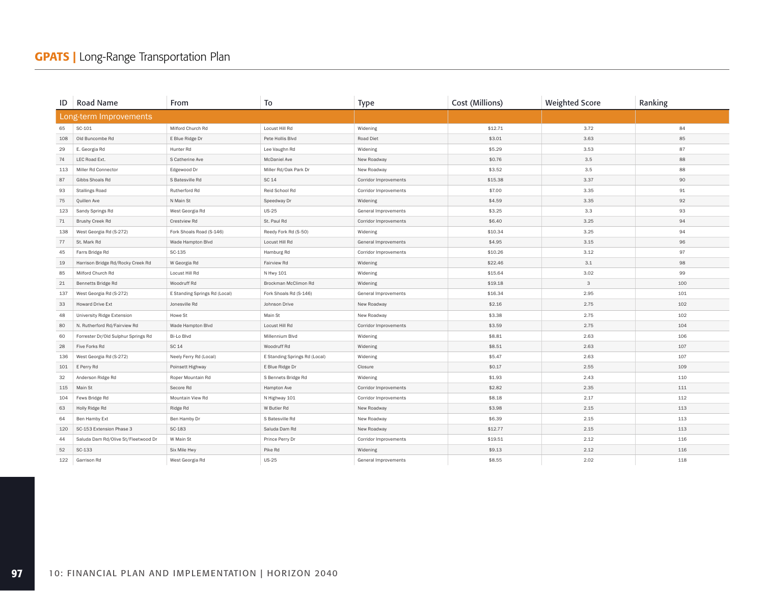| ID  | <b>Road Name</b>                    | From                          | To                            | <b>Type</b>           | Cost (Millions) | <b>Weighted Score</b> | Ranking |
|-----|-------------------------------------|-------------------------------|-------------------------------|-----------------------|-----------------|-----------------------|---------|
|     | Long-term Improvements              |                               |                               |                       |                 |                       |         |
| 65  | SC-101                              | Milford Church Rd             | Locust Hill Rd                | Widening              | \$12.71         | 3.72                  | 84      |
| 108 | Old Buncombe Rd                     | E Blue Ridge Dr               | Pete Hollis Blvd              | Road Diet             | \$3.01          | 3.63                  | 85      |
| 29  | E. Georgia Rd                       | Hunter <sub>Rd</sub>          | Lee Vaughn Rd                 | Widening              | \$5.29          | 3.53                  | 87      |
| 74  | LEC Road Ext.                       | S Catherine Ave               | McDaniel Ave                  | New Roadway           | \$0.76          | 3.5                   | 88      |
| 113 | Miller Rd Connector                 | Edgewood Dr                   | Miller Rd/Oak Park Dr         | New Roadway           | \$3.52          | 3.5                   | 88      |
| 87  | Gibbs Shoals Rd                     | S Batesville Rd               | SC 14                         | Corridor Improvements | \$15.38         | 3.37                  | 90      |
| 93  | <b>Stallings Road</b>               | Rutherford Rd                 | Reid School Rd                | Corridor Improvements | \$7.00          | 3.35                  | 91      |
| 75  | Quillen Ave                         | N Main St                     | Speedway Dr                   | Widening              | \$4.59          | 3.35                  | 92      |
| 123 | Sandy Springs Rd                    | West Georgia Rd               | <b>US-25</b>                  | General Improvements  | \$3.25          | 3.3                   | 93      |
| 71  | Brushy Creek Rd                     | Crestview Rd                  | St. Paul Rd                   | Corridor Improvements | \$6.40          | 3.25                  | 94      |
| 138 | West Georgia Rd (S-272)             | Fork Shoals Road (S-146)      | Reedy Fork Rd (S-50)          | Widening              | \$10.34         | 3.25                  | 94      |
| 77  | St. Mark Rd                         | Wade Hampton Blvd             | Locust Hill Rd                | General Improvements  | \$4.95          | 3.15                  | 96      |
| 45  | Farrs Bridge Rd                     | SC-135                        | Hamburg Rd                    | Corridor Improvements | \$10.26         | 3.12                  | 97      |
| 19  | Harrison Bridge Rd/Rocky Creek Rd   | W Georgia Rd                  | Fairview Rd                   | Widening              | \$22.46         | 3.1                   | 98      |
| 85  | Milford Church Rd                   | Locust Hill Rd                | N Hwy 101                     | Widening              | \$15.64         | 3.02                  | 99      |
| 21  | Bennetts Bridge Rd                  | Woodruff Rd                   | Brockman McClimon Rd          | Widening              | \$19.18         | 3                     | 100     |
| 137 | West Georgia Rd (S-272)             | E Standing Springs Rd (Local) | Fork Shoals Rd (S-146)        | General Improvements  | \$16.34         | 2.95                  | 101     |
| 33  | Howard Drive Ext                    | Jonesville Rd                 | Johnson Drive                 | New Roadway           | \$2.16          | 2.75                  | 102     |
| 48  | <b>University Ridge Extension</b>   | Howe St                       | Main St                       | New Roadway           | \$3.38          | 2.75                  | 102     |
| 80  | N. Rutherford Rd/Fairview Rd        | Wade Hampton Blvd             | Locust Hill Rd                | Corridor Improvements | \$3.59          | 2.75                  | 104     |
| 60  | Forrester Dr/Old Sulphur Springs Rd | Bi-Lo Blvd                    | Millennium Blvd               | Widening              | \$8.81          | 2.63                  | 106     |
| 28  | Five Forks Rd                       | SC 14                         | Woodruff Rd                   | Widening              | \$8.51          | 2.63                  | 107     |
| 136 | West Georgia Rd (S-272)             | Neely Ferry Rd (Local)        | E Standing Springs Rd (Local) | Widening              | \$5.47          | 2.63                  | 107     |
| 101 | E Perry Rd                          | Poinsett Highway              | E Blue Ridge Dr               | Closure               | \$0.17          | 2.55                  | 109     |
| 32  | Anderson Ridge Rd                   | Roper Mountain Rd             | S Bennets Bridge Rd           | Widening              | \$1.93          | 2.43                  | 110     |
| 115 | Main St                             | Secore Rd                     | Hampton Ave                   | Corridor Improvements | \$2.82          | 2.35                  | 111     |
| 104 | Fews Bridge Rd                      | Mountain View Rd              | N Highway 101                 | Corridor Improvements | \$8.18          | 2.17                  | 112     |
| 63  | Holly Ridge Rd                      | Ridge Rd                      | W Butler Rd                   | New Roadway           | \$3.98          | 2.15                  | 113     |
| 64  | Ben Hamby Ext                       | Ben Hamby Dr                  | S Batesville Rd               | New Roadway           | \$6.39          | 2.15                  | 113     |
| 120 | SC-153 Extension Phase 3            | SC-183                        | Saluda Dam Rd                 | New Roadway           | \$12.77         | 2.15                  | 113     |
| 44  | Saluda Dam Rd/Olive St/Fleetwood Dr | W Main St                     | Prince Perry Dr               | Corridor Improvements | \$19.51         | 2.12                  | 116     |
| 52  | SC-133                              | Six Mile Hwy                  | Pike Rd                       | Widening              | \$9.13          | 2.12                  | 116     |
| 122 | Garrison Rd                         | West Georgia Rd               | <b>US-25</b>                  | General Improvements  | \$8.55          | 2.02                  | 118     |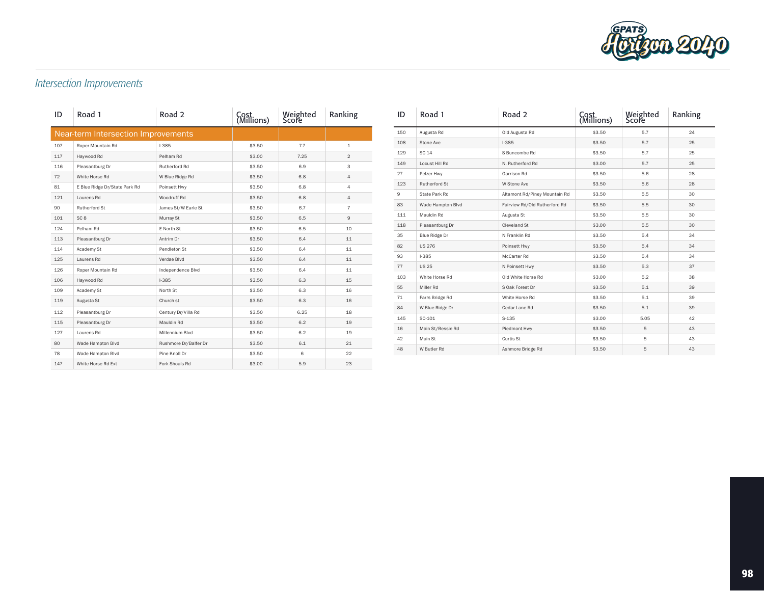

# *Intersection Improvements*

| ID  | Road 1                                     | Road 2                | Cost<br>(Millions) | Weighted<br>Score | Ranking        |
|-----|--------------------------------------------|-----------------------|--------------------|-------------------|----------------|
|     | <b>Near-term Intersection Improvements</b> |                       |                    |                   |                |
| 107 | Roper Mountain Rd                          | $1 - 385$             | \$3.50             | 7.7               | $\mathbf{1}$   |
| 117 | Haywood Rd                                 | Pelham Rd             | \$3.00             | 7.25              | $\mathfrak{D}$ |
| 116 | Pleasantburg Dr                            | Rutherford Rd         | \$3.50             | 6.9               | 3              |
| 72  | White Horse Rd                             | W Blue Ridge Rd       | \$3.50             | 6.8               | $\overline{4}$ |
| 81  | E Blue Ridge Dr/State Park Rd              | Poinsett Hwy          | \$3.50             | 6.8               | 4              |
| 121 | Laurens Rd                                 | Woodruff Rd           | \$3.50             | 6.8               | $\overline{4}$ |
| 90  | Rutherford St                              | James St/W Earle St   | \$3.50             | 6.7               | $\overline{7}$ |
| 101 | SC <sub>8</sub>                            | Murray St             | \$3.50             | 6.5               | 9              |
| 124 | Pelham Rd                                  | E North St            | \$3.50             | 6.5               | 10             |
| 113 | Pleasantburg Dr                            | Antrim Dr             | \$3.50             | 6.4               | 11             |
| 114 | Academy St                                 | Pendleton St          | \$3.50             | 6.4               | 11             |
| 125 | Laurens Rd                                 | Verdae Blvd           | \$3.50             | 6.4               | 11             |
| 126 | Roper Mountain Rd                          | Independence Blvd     | \$3.50             | 6.4               | 11             |
| 106 | Haywood Rd                                 | $1 - 385$             | \$3.50             | 6.3               | 15             |
| 109 | Academy St                                 | North St              | \$3.50             | 6.3               | 16             |
| 119 | Augusta St                                 | Church st             | \$3.50             | 6.3               | 16             |
| 112 | Pleasantburg Dr                            | Century Dr/Villa Rd   | \$3.50             | 6.25              | 18             |
| 115 | Pleasantburg Dr                            | Mauldin Rd            | \$3.50             | 6.2               | 19             |
| 127 | Laurens Rd                                 | Millennium Blvd       | \$3.50             | 6.2               | 19             |
| 80  | Wade Hampton Blvd                          | Rushmore Dr/Balfer Dr | \$3.50             | 6.1               | 21             |
| 78  | Wade Hampton Blvd                          | Pine Knoll Dr         | \$3.50             | 6                 | 22             |
| 147 | White Horse Rd Ext                         | Fork Shoals Rd        | \$3.00             | 5.9               | 23             |

| ID  | Road 1            | Road 2                        | Cost<br>(Millions) | Weighted<br>Score | Ranking |
|-----|-------------------|-------------------------------|--------------------|-------------------|---------|
| 150 | Augusta Rd        | Old Augusta Rd                | \$3.50             | 5.7               | 24      |
| 108 | Stone Ave         | $1 - 385$                     | \$3.50             | 5.7               | 25      |
| 129 | SC 14             | S Buncombe Rd                 | \$3.50             | 5.7               | 25      |
| 149 | Locust Hill Rd    | N. Rutherford Rd              | \$3.00             | 5.7               | 25      |
| 27  | Pelzer Hwy        | Garrison Rd                   | \$3.50             | 5.6               | 28      |
| 123 | Rutherford St     | W Stone Ave                   | \$3.50             | 5.6               | 28      |
| 9   | State Park Rd     | Altamont Rd/Piney Mountain Rd | \$3.50             | 5.5               | 30      |
| 83  | Wade Hampton Blvd | Fairview Rd/Old Rutherford Rd | \$3.50             | 5.5               | 30      |
| 111 | Mauldin Rd        | Augusta St                    | \$3.50             | 5.5               | 30      |
| 118 | Pleasantburg Dr   | Cleveland St                  | \$3.00             | 5.5               | 30      |
| 35  | Blue Ridge Dr     | N Franklin Rd                 | \$3.50             | 5.4               | 34      |
| 82  | <b>US 276</b>     | Poinsett Hwy                  | \$3.50             | 5.4               | 34      |
| 93  | $1-385$           | McCarter Rd                   | \$3.50             | 5.4               | 34      |
| 77  | <b>US 25</b>      | N Poinsett Hwy                | \$3.50             | 5.3               | 37      |
| 103 | White Horse Rd    | Old White Horse Rd            | \$3.00             | 5.2               | 38      |
| 55  | Miller Rd         | S Oak Forest Dr               | \$3.50             | 5.1               | 39      |
| 71  | Farrs Bridge Rd   | White Horse Rd                | \$3.50             | 5.1               | 39      |
| 84  | W Blue Ridge Dr   | Cedar Lane Rd                 | \$3.50             | 5.1               | 39      |
| 145 | SC-101            | $S-135$                       | \$3.00             | 5.05              | 42      |
| 16  | Main St/Bessie Rd | Piedmont Hwy                  | \$3.50             | 5                 | 43      |
| 42  | Main St           | Curtis St                     | \$3.50             | 5                 | 43      |
| 48  | W Butler Rd       | Ashmore Bridge Rd             | \$3.50             | 5                 | 43      |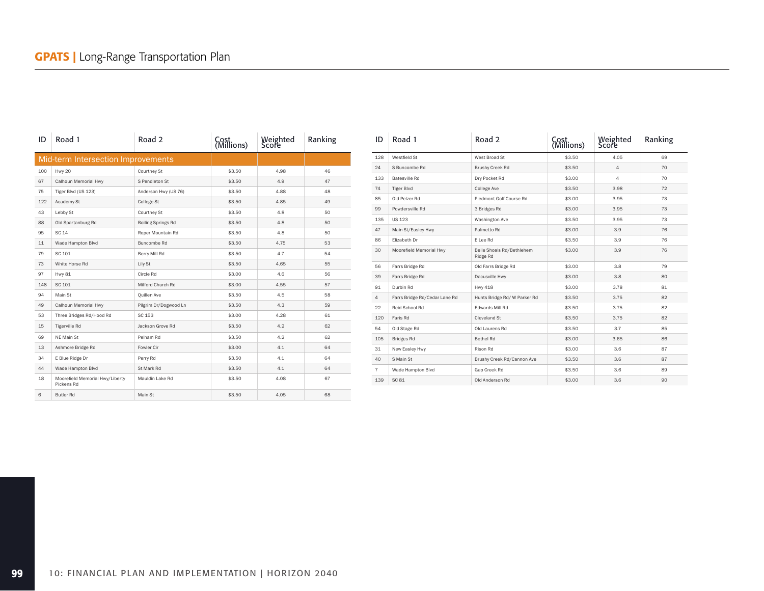| ID  | Road 1                                        | Road 2                    | Weighted<br>Score<br>Cost<br>(Millions) |      | Ranking |
|-----|-----------------------------------------------|---------------------------|-----------------------------------------|------|---------|
|     | Mid-term Intersection Improvements            |                           |                                         |      |         |
| 100 | Hwy 20                                        | Courtney St               | \$3.50                                  | 4.98 | 46      |
| 67  | Calhoun Memorial Hwy                          | S Pendleton St            | \$3.50                                  | 4.9  | 47      |
| 75  | Tiger Blvd (US 123)                           | Anderson Hwy (US 76)      | \$3.50                                  | 4.88 | 48      |
| 122 | Academy St                                    | College St                | \$3.50                                  | 4.85 | 49      |
| 43  | Lebby St                                      | Courtney St               | \$3.50                                  | 4.8  | 50      |
| 88  | Old Spartanburg Rd                            | <b>Boiling Springs Rd</b> | \$3.50                                  | 4.8  | 50      |
| 95  | <b>SC 14</b>                                  | Roper Mountain Rd         | \$3.50                                  | 4.8  | 50      |
| 11  | Wade Hampton Blvd                             | Buncombe Rd               | \$3.50                                  | 4.75 | 53      |
| 79  | SC 101                                        | Berry Mill Rd             | \$3.50                                  | 4.7  | 54      |
| 73  | White Horse Rd                                | Lily St                   | \$3.50                                  | 4.65 | 55      |
| 97  | <b>Hwy 81</b>                                 | Circle Rd                 | \$3.00                                  | 4.6  | 56      |
| 148 | SC 101                                        | Milford Church Rd         | \$3.00                                  | 4.55 | 57      |
| 94  | Main St                                       | Ouillen Ave               | \$3.50                                  | 4.5  | 58      |
| 49  | Calhoun Memorial Hwy                          | Pilgrim Dr/Dogwood Ln     | \$3.50                                  | 4.3  | 59      |
| 53  | Three Bridges Rd/Hood Rd                      | SC 153                    | \$3.00                                  | 4.28 | 61      |
| 15  | <b>Tigerville Rd</b>                          | Jackson Grove Rd          | \$3.50                                  | 4.2  | 62      |
| 69  | NE Main St                                    | Pelham Rd                 | \$3.50                                  | 4.2  | 62      |
| 13  | Ashmore Bridge Rd                             | Fowler Cir                | \$3.00                                  | 4.1  | 64      |
| 34  | E Blue Ridge Dr                               | Perry Rd                  | \$3.50                                  | 4.1  | 64      |
| 44  | Wade Hampton Blvd                             | St Mark Rd                | \$3.50                                  | 4.1  | 64      |
| 18  | Moorefield Memorial Hwy/Liberty<br>Pickens Rd | Mauldin Lake Rd           | \$3.50                                  | 4.08 | 67      |
| 6   | <b>Butler Rd</b>                              | Main St                   | \$3.50                                  | 4.05 | 68      |

| ID             | Road 1                        | Road 2                                | Cost<br>(Millions) | Weighted<br>Score | Ranking |
|----------------|-------------------------------|---------------------------------------|--------------------|-------------------|---------|
| 128            | Westfield St                  | West Broad St                         | \$3.50             | 4.05              | 69      |
| 24             | S Buncombe Rd                 | Brushy Creek Rd                       | \$3.50             | $\overline{4}$    | 70      |
| 133            | <b>Batesville Rd</b>          | Dry Pocket Rd                         | \$3.00             | 4                 | 70      |
| 74             | <b>Tiger Blvd</b>             | College Ave                           | \$3.50             | 3.98              | 72      |
| 85             | Old Pelzer Rd                 | Piedmont Golf Course Rd               | \$3.00             | 3.95              | 73      |
| 99             | Powdersville Rd               | 3 Bridges Rd                          | \$3.00             | 3.95              | 73      |
| 135            | <b>US 123</b>                 | Washington Ave                        | \$3.50             | 3.95              | 73      |
| 47             | Main St/Easley Hwy            | Palmetto Rd                           | \$3.00             | 3.9               | 76      |
| 86             | Elizabeth Dr                  | E Lee Rd                              | \$3.50             | 3.9               | 76      |
| 30             | Moorefield Memorial Hwy       | Belle Shoals Rd/Bethlehem<br>Ridge Rd | \$3.00             | 3.9               | 76      |
| 56             | Farrs Bridge Rd               | Old Farrs Bridge Rd                   | \$3.00             | 3.8               | 79      |
| 39             | Farrs Bridge Rd               | Dacusville Hwy                        | \$3.00             | 3.8               | 80      |
| 91             | Durbin Rd                     | <b>Hwy 418</b>                        | \$3.00             | 3.78              | 81      |
| 4              | Farrs Bridge Rd/Cedar Lane Rd | Hunts Bridge Rd/ W Parker Rd          | \$3.50             | 3.75              | 82      |
| 22             | Reid School Rd                | Edwards Mill Rd                       | \$3.50             | 3.75              | 82      |
| 120            | Faris Rd                      | Cleveland St                          | \$3.50             | 3.75              | 82      |
| 54             | Old Stage Rd                  | Old Laurens Rd                        | \$3.50             | 3.7               | 85      |
| 105            | <b>Bridges Rd</b>             | Bethel Rd                             | \$3.00             | 3.65              | 86      |
| 31             | New Easley Hwy                | Rison Rd                              | \$3.00             | 3.6               | 87      |
| 40             | S Main St                     | Brushy Creek Rd/Cannon Ave            | \$3.50             | 3.6               | 87      |
| $\overline{7}$ | Wade Hampton Blvd             | Gap Creek Rd                          | \$3.50             | 3.6               | 89      |
| 139            | SC 81                         | Old Anderson Rd                       | \$3.00             | 3.6               | 90      |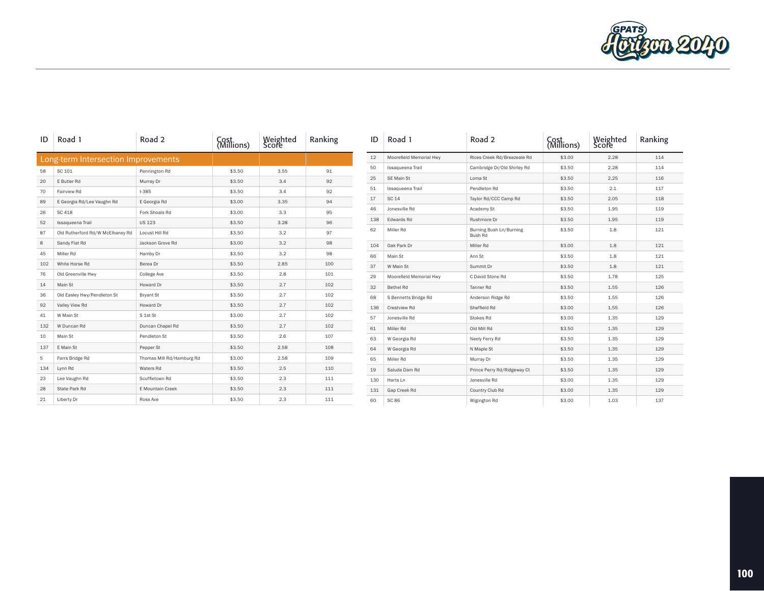

| ID  | Road 1                              | Road 2                    | Cost<br>(Millions) | Weighted<br>Score | Ranking | ID  | Road 1                  | Road 2                             | Cost<br>(Millions) | Weighted<br>Score | Ranking |
|-----|-------------------------------------|---------------------------|--------------------|-------------------|---------|-----|-------------------------|------------------------------------|--------------------|-------------------|---------|
|     | Long-term Intersection Improvements |                           |                    |                   |         | 12  | Moorefield Memorial Hwy | Rices Creek Rd/Breazeale Rd        | \$3.00             | 2.28              | 114     |
| 58  | SC 101                              | Pennington Rd             | \$3.50             | 3.55              | 91      | 50  | Issaqueena Trail        | Cambridge Dr/Old Shirley Rd        | \$3.50             | 2.28              | 114     |
| 20  | E Butler Rd                         | Murray Dr                 | \$3.50             | 3.4               | 92      | 25  | SE Main St              | Loma St                            | \$3.50             | 2.25              | 116     |
| 70  | Fairview Rd                         | $1 - 385$                 | \$3.50             | 3.4               | 92      | 51  | Issaqueena Trail        | Pendleton Rd                       | \$3.50             | 2.1               | 117     |
| 89  | E Georgia Rd/Lee Vaughn Rd          | E Georgia Rd              | \$3.00             | 3.35              | 94      | 17  | SC 14                   | Taylor Rd/CCC Camp Rd              | \$3.50             | 2.05              | 118     |
| 26  | SC 418                              | Fork Shoals Rd            | \$3.00             | 3.3               | 95      | 46  | Jonesville Rd           | Academy St                         | \$3.50             | 1.95              | 119     |
| 52  | Issaqueena Trail                    | <b>US 123</b>             | \$3.50             | 3.28              | 96      | 138 | Edwards Rd              | Rushmore Dr                        | \$3.50             | 1.95              | 119     |
| 87  | Old Rutherford Rd/W McElhaney Rd    | Locust Hill Rd            | \$3.50             | 3.2               | 97      | 62  | Miller Rd               | Burning Bush Ln/Burning<br>Bush Rd | \$3.50             | 1.8               | 121     |
| 8   | Sandy Flat Rd                       | Jackson Grove Rd          | \$3.00             | 3.2               | 98      | 104 | Oak Park Dr             | Miller Rd                          | \$3.00             | 1.8               | 121     |
| 45  | Miller Rd                           | Hamby Dr                  | \$3.50             | 3.2               | 98      | 66  | Main St                 | Ann St                             | \$3.50             | 1.8               | 121     |
| 102 | White Horse Rd                      | Berea Dr                  | \$3.50             | 2.85              | 100     | 37  | W Main St               | Summit Dr                          | \$3.50             | 1.8               | 121     |
| 76  | Old Greenville Hwy                  | College Ave               | \$3.50             | 2.8               | 101     | 29  | Moorefield Memorial Hwy | C David Stone Rd                   | \$3.50             | 1.78              | 125     |
| 14  | Main St                             | Howard Dr                 | \$3.50             | 2.7               | 102     | 32  | Bethel Rd               | Tanner <sub>Rd</sub>               | \$3.50             | 1.55              | 126     |
| 36  | Old Easley Hwy/Pendleton St         | <b>Bryant St</b>          | \$3.50             | 2.7               | 102     | 68  | S Bennetts Bridge Rd    | Anderson Ridge Rd                  | \$3.50             | 1.55              | 126     |
| 92  | Valley View Rd                      | Howard Dr                 | \$3.50             | 2.7               | 102     | 136 | Crestview Rd            | Sheffield Rd                       | \$3.00             | 1.55              | 126     |
| 41  | W Main St                           | S 1st St                  | \$3.00             | 2.7               | 102     | 57  | Jonesville Rd           | Stokes Rd                          | \$3.00             | 1.35              | 129     |
| 132 | W Duncan Rd                         | Duncan Chapel Rd          | \$3.50             | 2.7               | 102     | 61  | Miller Rd               | Old Mill Rd                        | \$3.50             | 1.35              | 129     |
| 10  | Main St                             | Pendleton St              | \$3.50             | 2.6               | 107     | 63  | W Georgia Rd            | Neely Ferry Rd                     | \$3.50             | 1.35              | 129     |
| 137 | E Main St                           | Pepper St                 | \$3.50             | 2.58              | 108     | 64  | W Georgia Rd            | N Maple St                         | \$3.50             | 1.35              | 129     |
| 5   | Farrs Bridge Rd                     | Thomas Mill Rd/Hamburg Rd | \$3.00             | 2.58              | 109     | 65  | Miller Rd               | Murray Dr                          | \$3.50             | 1.35              | 129     |
| 134 | Lynn Rd                             | Waters Rd                 | \$3.50             | 2.5               | 110     | 19  | Saluda Dam Rd           | Prince Perry Rd/Ridgeway Ct        | \$3.50             | 1.35              | 129     |
| 23  | Lee Vaughn Rd                       | Scuffletown Rd            | \$3.50             | 2.3               | 111     | 130 | Harts Ln                | Jonesville Rd                      | \$3.00             | 1.35              | 129     |
| 28  | State Park Rd                       | E Mountain Creek          | \$3.50             | 2.3               | 111     | 131 | Gap Creek Rd            | Country Club Rd                    | \$3.00             | 1.35              | 129     |
| 21  | Liberty Dr                          | Ross Ave                  | \$3.50             | 2.3               | 111     | 60  | <b>SC 86</b>            | Wigington Rd                       | \$3.00             | 1.03              | 137     |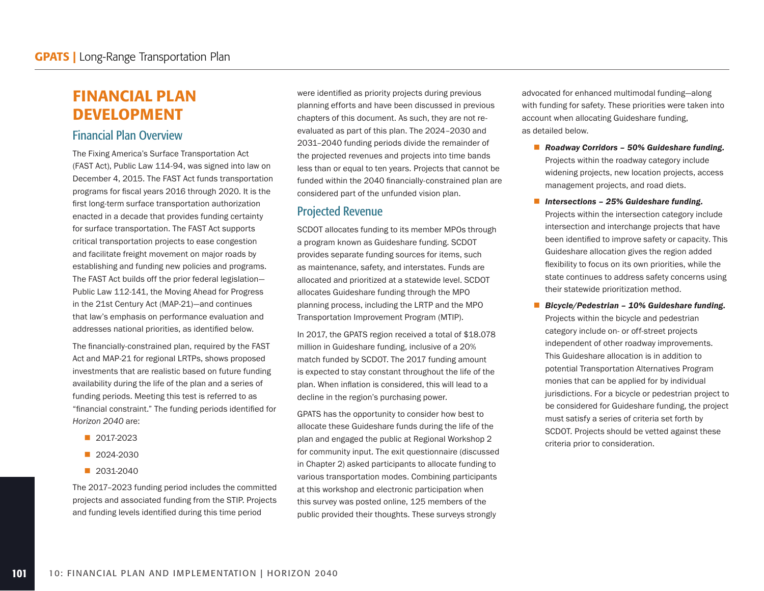# FINANCIAL PLAN DEVELOPMENT

## Financial Plan Overview

The Fixing America's Surface Transportation Act (FAST Act), Public Law 114-94, was signed into law on December 4, 2015. The FAST Act funds transportation programs for fiscal years 2016 through 2020. It is the first long-term surface transportation authorization enacted in a decade that provides funding certainty for surface transportation. The FAST Act supports critical transportation projects to ease congestion and facilitate freight movement on major roads by establishing and funding new policies and programs. The FAST Act builds off the prior federal legislation— Public Law 112-141, the Moving Ahead for Progress in the 21st Century Act (MAP-21)—and continues that law's emphasis on performance evaluation and addresses national priorities, as identified below.

The financially-constrained plan, required by the FAST Act and MAP-21 for regional LRTPs, shows proposed investments that are realistic based on future funding availability during the life of the plan and a series of funding periods. Meeting this test is referred to as "financial constraint." The funding periods identified for *Horizon 2040* are:

- 2017-2023
- 2024-2030
- 2031-2040

The 2017–2023 funding period includes the committed projects and associated funding from the STIP. Projects and funding levels identified during this time period

were identified as priority projects during previous planning efforts and have been discussed in previous chapters of this document. As such, they are not reevaluated as part of this plan. The 2024–2030 and 2031–2040 funding periods divide the remainder of the projected revenues and projects into time bands less than or equal to ten years. Projects that cannot be funded within the 2040 financially-constrained plan are considered part of the unfunded vision plan.

### Projected Revenue

SCDOT allocates funding to its member MPOs through a program known as Guideshare funding. SCDOT provides separate funding sources for items, such as maintenance, safety, and interstates. Funds are allocated and prioritized at a statewide level. SCDOT allocates Guideshare funding through the MPO planning process, including the LRTP and the MPO Transportation Improvement Program (MTIP).

In 2017, the GPATS region received a total of \$18.078 million in Guideshare funding, inclusive of a 20% match funded by SCDOT. The 2017 funding amount is expected to stay constant throughout the life of the plan. When inflation is considered, this will lead to a decline in the region's purchasing power.

GPATS has the opportunity to consider how best to allocate these Guideshare funds during the life of the plan and engaged the public at Regional Workshop 2 for community input. The exit questionnaire (discussed in Chapter 2) asked participants to allocate funding to various transportation modes. Combining participants at this workshop and electronic participation when this survey was posted online, 125 members of the public provided their thoughts. These surveys strongly

advocated for enhanced multimodal funding—along with funding for safety. These priorities were taken into account when allocating Guideshare funding, as detailed below.

- Roadway Corridors 50% Guideshare funding. Projects within the roadway category include widening projects, new location projects, access management projects, and road diets.
- *Intersections 25% Guideshare funding.* Projects within the intersection category include intersection and interchange projects that have been identified to improve safety or capacity. This Guideshare allocation gives the region added flexibility to focus on its own priorities, while the state continues to address safety concerns using their statewide prioritization method.
- *Bicycle/Pedestrian 10% Guideshare funding.* Projects within the bicycle and pedestrian category include on- or off-street projects independent of other roadway improvements. This Guideshare allocation is in addition to potential Transportation Alternatives Program monies that can be applied for by individual jurisdictions. For a bicycle or pedestrian project to be considered for Guideshare funding, the project must satisfy a series of criteria set forth by SCDOT. Projects should be vetted against these criteria prior to consideration.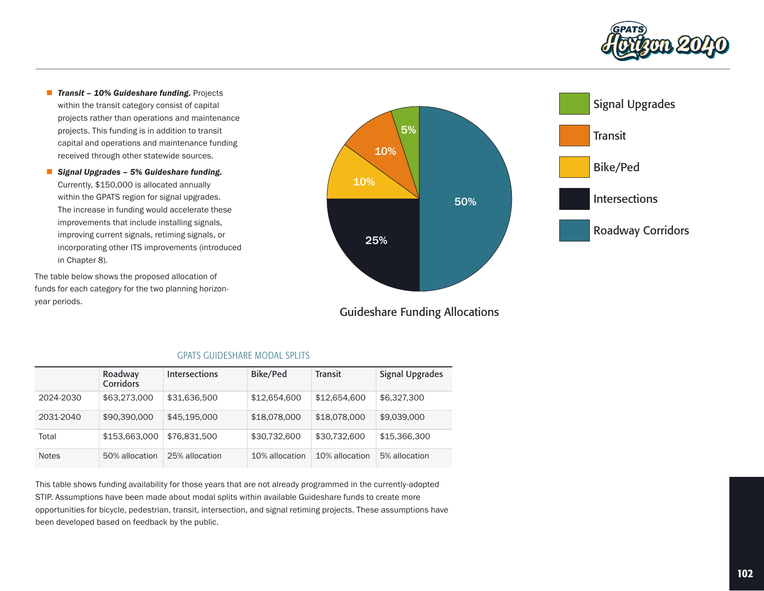

- **Transit 10% Guideshare funding.** Projects within the transit category consist of capital projects rather than operations and maintenance projects. This funding is in addition to transit capital and operations and maintenance funding received through other statewide sources.
- *Signal Upgrades 5% Guideshare funding.*  Currently, \$150,000 is allocated annually within the GPATS region for signal upgrades. The increase in funding would accelerate these improvements that include installing signals, improving current signals, retiming signals, or incorporating other ITS improvements (introduced in Chapter 8).

The table below shows the proposed allocation of funds for each category for the two planning horizonyear periods.



# Guideshare Funding Allocations

|              | Roadway<br>Corridors | Intersections  | Bike/Ped       | <b>Transit</b> | <b>Signal Upgrades</b> |
|--------------|----------------------|----------------|----------------|----------------|------------------------|
| 2024-2030    | \$63,273,000         | \$31,636,500   | \$12,654,600   | \$12,654,600   | \$6,327,300            |
| 2031-2040    | \$90,390,000         | \$45,195,000   | \$18,078,000   | \$18,078,000   | \$9,039,000            |
| Total        | \$153,663,000        | \$76,831,500   | \$30,732,600   | \$30,732,600   | \$15,366,300           |
| <b>Notes</b> | 50% allocation       | 25% allocation | 10% allocation | 10% allocation | 5% allocation          |

#### GPATS GUIDESHARE MODAL SPLITS

This table shows funding availability for those years that are not already programmed in the currently-adopted STIP. Assumptions have been made about modal splits within available Guideshare funds to create more opportunities for bicycle, pedestrian, transit, intersection, and signal retiming projects. These assumptions have been developed based on feedback by the public.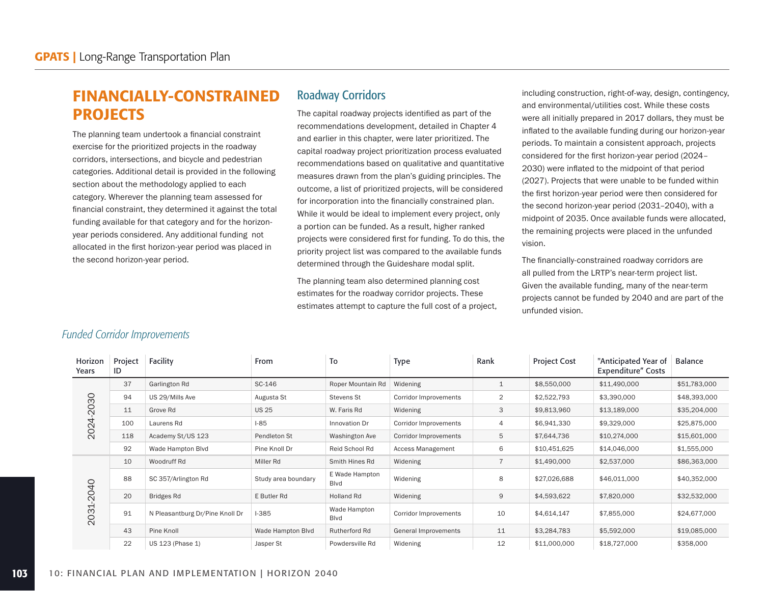# FINANCIALLY-CONSTRAINED PROJECTS

The planning team undertook a financial constraint exercise for the prioritized projects in the roadway corridors, intersections, and bicycle and pedestrian categories. Additional detail is provided in the following section about the methodology applied to each category. Wherever the planning team assessed for financial constraint, they determined it against the total funding available for that category and for the horizonyear periods considered. Any additional funding not allocated in the first horizon-year period was placed in the second horizon-year period.

### Roadway Corridors

The capital roadway projects identified as part of the recommendations development, detailed in Chapter 4 and earlier in this chapter, were later prioritized. The capital roadway project prioritization process evaluated recommendations based on qualitative and quantitative measures drawn from the plan's guiding principles. The outcome, a list of prioritized projects, will be considered for incorporation into the financially constrained plan. While it would be ideal to implement every project, only a portion can be funded. As a result, higher ranked projects were considered first for funding. To do this, the priority project list was compared to the available funds determined through the Guideshare modal split.

The planning team also determined planning cost estimates for the roadway corridor projects. These estimates attempt to capture the full cost of a project, including construction, right-of-way, design, contingency, and environmental/utilities cost. While these costs were all initially prepared in 2017 dollars, they must be inflated to the available funding during our horizon-year periods. To maintain a consistent approach, projects considered for the first horizon-year period (2024– 2030) were inflated to the midpoint of that period (2027). Projects that were unable to be funded within the first horizon-year period were then considered for the second horizon-year period (2031–2040), with a midpoint of 2035. Once available funds were allocated, the remaining projects were placed in the unfunded vision.

The financially-constrained roadway corridors are all pulled from the LRTP's near-term project list. Given the available funding, many of the near-term projects cannot be funded by 2040 and are part of the unfunded vision.

| Horizon<br>Years | Project<br>ID | Facility                        | From                | To                     | <b>Type</b>              | Rank           | <b>Project Cost</b> | "Anticipated Year of<br><b>Expenditure"</b> Costs | <b>Balance</b> |
|------------------|---------------|---------------------------------|---------------------|------------------------|--------------------------|----------------|---------------------|---------------------------------------------------|----------------|
|                  | 37            | Garlington Rd                   | SC-146              | Roper Mountain Rd      | Widening                 | 1              | \$8,550,000         | \$11,490,000                                      | \$51,783,000   |
|                  | 94            | US 29/Mills Ave                 | Augusta St          | Stevens St             | Corridor Improvements    | 2              | \$2,522,793         | \$3,390,000                                       | \$48,393,000   |
| 2030             | 11            | Grove Rd                        | <b>US 25</b>        | W. Faris Rd            | Widening                 | 3              | \$9,813,960         | \$13,189,000                                      | \$35,204,000   |
| 2024             | 100           | Laurens Rd                      | $1-85$              | Innovation Dr          | Corridor Improvements    | $\overline{4}$ | \$6,941,330         | \$9,329,000                                       | \$25,875,000   |
|                  | 118           | Academy St/US 123               | Pendleton St        | Washington Ave         | Corridor Improvements    | 5              | \$7,644,736         | \$10,274,000                                      | \$15,601,000   |
|                  | 92            | Wade Hampton Blvd               | Pine Knoll Dr       | Reid School Rd         | <b>Access Management</b> | 6              | \$10,451,625        | \$14,046,000                                      | \$1,555,000    |
|                  | 10            | Woodruff Rd                     | Miller Rd           | Smith Hines Rd         | Widening                 |                | \$1,490,000         | \$2,537,000                                       | \$86,363,000   |
|                  | 88            | SC 357/Arlington Rd             | Study area boundary | E Wade Hampton<br>Blvd | Widening                 | 8              | \$27,026,688        | \$46,011,000                                      | \$40,352,000   |
|                  | 20            | Bridges Rd                      | E Butler Rd         | <b>Holland Rd</b>      | Widening                 | 9              | \$4,593,622         | \$7,820,000                                       | \$32,532,000   |
| 2031-2040        | 91            | N Pleasantburg Dr/Pine Knoll Dr | $1 - 385$           | Wade Hampton<br>Blvd   | Corridor Improvements    | 10             | \$4,614,147         | \$7,855,000                                       | \$24,677,000   |
|                  | 43            | Pine Knoll                      | Wade Hampton Blvd   | Rutherford Rd          | General Improvements     | 11             | \$3,284,783         | \$5,592,000                                       | \$19,085,000   |
|                  | 22            | US 123 (Phase 1)                | Jasper St           | Powdersville Rd        | Widening                 | 12             | \$11,000,000        | \$18,727,000                                      | \$358,000      |

#### *Funded Corridor Improvements*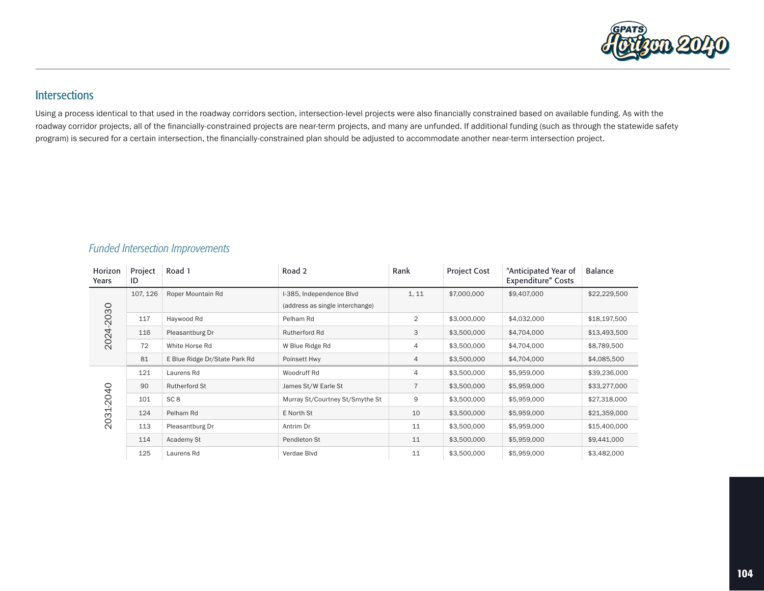

# **Intersections**

Using a process identical to that used in the roadway corridors section, intersection-level projects were also financially constrained based on available funding. As with the roadway corridor projects, all of the financially-constrained projects are near-term projects, and many are unfunded. If additional funding (such as through the statewide safety program) is secured for a certain intersection, the financially-constrained plan should be adjusted to accommodate another near-term intersection project.

#### *Funded Intersection Improvements*

| Horizon<br>Years | Project<br>ID | Road 1                        | Road 2                                                      | Rank           | <b>Project Cost</b> | "Anticipated Year of<br>Expenditure" Costs | <b>Balance</b> |
|------------------|---------------|-------------------------------|-------------------------------------------------------------|----------------|---------------------|--------------------------------------------|----------------|
|                  | 107, 126      | Roper Mountain Rd             | I-385, Independence Blvd<br>(address as single interchange) | 1, 11          | \$7,000,000         | \$9,407,000                                | \$22,229,500   |
| 2024-2030        | 117           | Haywood Rd                    | Pelham Rd                                                   | 2              | \$3,000,000         | \$4,032,000                                | \$18,197,500   |
|                  | 116           | Pleasantburg Dr               | Rutherford Rd                                               | 3              | \$3,500,000         | \$4,704,000                                | \$13,493,500   |
|                  | 72            | White Horse Rd                | W Blue Ridge Rd                                             | 4              | \$3,500,000         | \$4,704,000                                | \$8,789,500    |
|                  | 81            | E Blue Ridge Dr/State Park Rd | Poinsett Hwy                                                | 4              | \$3,500,000         | \$4,704,000                                | \$4,085,500    |
|                  | 121           | Laurens Rd                    | Woodruff Rd                                                 | 4              | \$3,500,000         | \$5,959,000                                | \$39,236,000   |
|                  | 90            | Rutherford St                 | James St/W Earle St                                         | $\overline{7}$ | \$3,500,000         | \$5,959,000                                | \$33,277,000   |
| 2031-2040        | 101           | SC <sub>8</sub>               | Murray St/Courtney St/Smythe St                             | 9              | \$3,500,000         | \$5,959,000                                | \$27,318,000   |
|                  | 124           | Pelham Rd                     | E North St                                                  | 10             | \$3,500,000         | \$5,959,000                                | \$21,359,000   |
|                  | 113           | Pleasantburg Dr               | Antrim Dr                                                   | 11             | \$3,500,000         | \$5,959,000                                | \$15,400,000   |
|                  | 114           | Academy St                    | Pendleton St                                                | 11             | \$3,500,000         | \$5,959,000                                | \$9,441,000    |
|                  | 125           | Laurens Rd                    | Verdae Blvd                                                 | 11             | \$3,500,000         | \$5,959,000                                | \$3,482,000    |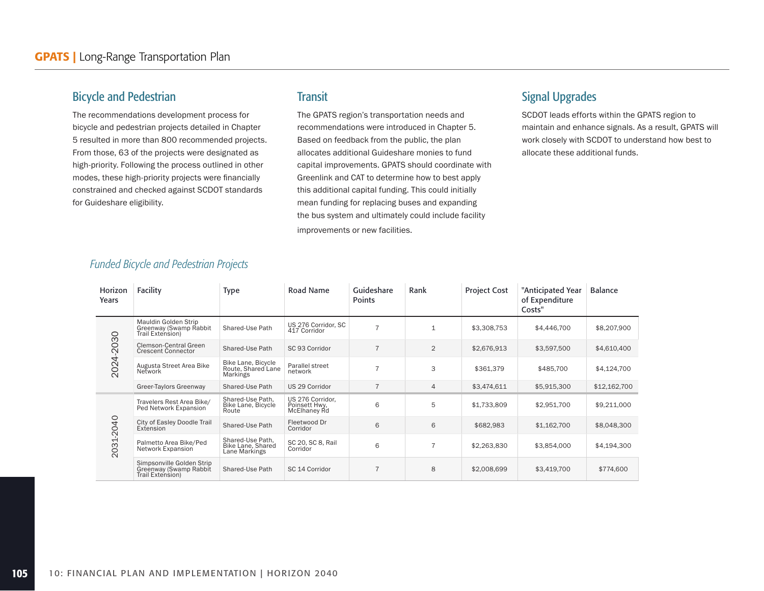### Bicycle and Pedestrian

The recommendations development process for bicycle and pedestrian projects detailed in Chapter 5 resulted in more than 800 recommended projects. From those, 63 of the projects were designated as high-priority. Following the process outlined in other modes, these high-priority projects were financially constrained and checked against SCDOT standards for Guideshare eligibility.

#### **Transit**

The GPATS region's transportation needs and recommendations were introduced in Chapter 5. Based on feedback from the public, the plan allocates additional Guideshare monies to fund capital improvements. GPATS should coordinate with Greenlink and CAT to determine how to best apply this additional capital funding. This could initially mean funding for replacing buses and expanding the bus system and ultimately could include facility improvements or new facilities.

### Signal Upgrades

SCDOT leads efforts within the GPATS region to maintain and enhance signals. As a result, GPATS will work closely with SCDOT to understand how best to allocate these additional funds.

| Horizon<br>Years | Facility                                                                | <b>Type</b>                                            | Road Name                                         | Guideshare<br>Points | Rank           | <b>Project Cost</b> | "Anticipated Year<br>of Expenditure<br>Costs" | <b>Balance</b> |
|------------------|-------------------------------------------------------------------------|--------------------------------------------------------|---------------------------------------------------|----------------------|----------------|---------------------|-----------------------------------------------|----------------|
|                  | Mauldin Golden Strip<br>Greenway (Swamp Rabbit<br>Trail Extension)      | Shared-Use Path                                        | US 276 Corridor, SC<br>417 Corridor               | $\overline{7}$       | $\mathbf{1}$   | \$3,308,753         | \$4,446,700                                   | \$8,207,900    |
|                  | Clemson-Central Green<br><b>Crescent Connector</b>                      | Shared-Use Path                                        | SC 93 Corridor                                    | $\overline{7}$       | $\overline{2}$ | \$2,676,913         | \$3,597,500                                   | \$4,610,400    |
| 2024-2030        | Augusta Street Area Bike<br>Network                                     | Bike Lane, Bicycle<br>Route, Shared Lane<br>Markings   | Parallel street<br>network                        | $\overline{7}$       | 3              | \$361.379           | \$485,700                                     | \$4,124,700    |
|                  | Greer-Taylors Greenway                                                  | Shared-Use Path                                        | US 29 Corridor                                    | $\overline{7}$       | $\overline{4}$ | \$3,474,611         | \$5,915,300                                   | \$12,162,700   |
|                  | Travelers Rest Area Bike/<br>Ped Network Expansion                      | Shared-Use Path,<br>Bike Lane, Bicycle<br>Route        | US 276 Corridor,<br>Poinsett Hwy.<br>McElhaney Rd | 6                    | 5              | \$1,733,809         | \$2,951,700                                   | \$9,211,000    |
|                  | City of Easley Doodle Trail<br>Extension                                | Shared-Use Path                                        | Fleetwood Dr<br>Corridor                          | 6                    | 6              | \$682,983           | \$1,162,700                                   | \$8,048,300    |
| 2031-2040        | Palmetto Area Bike/Ped<br>Network Expansion                             | Shared-Use Path,<br>Bike Lane, Shared<br>Lane Markings | SC 20, SC 8, Rail<br>Corridor                     | 6                    | $\overline{7}$ | \$2,263,830         | \$3,854,000                                   | \$4,194,300    |
|                  | Simpsonville Golden Strip<br>Greenway (Swamp Rabbit<br>Trail Extension) | Shared-Use Path                                        | SC 14 Corridor                                    | $\overline{7}$       | 8              | \$2,008,699         | \$3,419,700                                   | \$774,600      |

#### *Funded Bicycle and Pedestrian Projects*